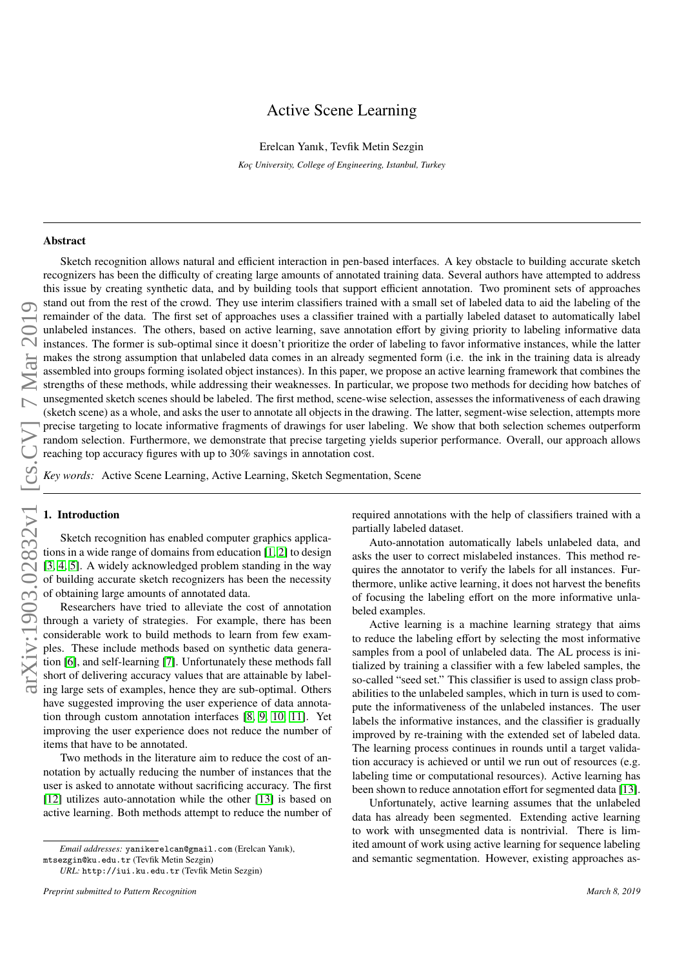# Active Scene Learning

Erelcan Yanık, Tevfik Metin Sezgin

*Ko¸c University, College of Engineering, Istanbul, Turkey*

#### Abstract

arXiv:1903.02832v1 [cs.CV] 7 Mar 2019arXiv:1903.02832v1 [cs.CV] 7 Mar 201

Sketch recognition allows natural and efficient interaction in pen-based interfaces. A key obstacle to building accurate sketch recognizers has been the difficulty of creating large amounts of annotated training data. Several authors have attempted to address this issue by creating synthetic data, and by building tools that support efficient annotation. Two prominent sets of approaches stand out from the rest of the crowd. They use interim classifiers trained with a small set of labeled data to aid the labeling of the remainder of the data. The first set of approaches uses a classifier trained with a partially labeled dataset to automatically label unlabeled instances. The others, based on active learning, save annotation effort by giving priority to labeling informative data instances. The former is sub-optimal since it doesn't prioritize the order of labeling to favor informative instances, while the latter makes the strong assumption that unlabeled data comes in an already segmented form (i.e. the ink in the training data is already assembled into groups forming isolated object instances). In this paper, we propose an active learning framework that combines the strengths of these methods, while addressing their weaknesses. In particular, we propose two methods for deciding how batches of unsegmented sketch scenes should be labeled. The first method, scene-wise selection, assesses the informativeness of each drawing (sketch scene) as a whole, and asks the user to annotate all objects in the drawing. The latter, segment-wise selection, attempts more precise targeting to locate informative fragments of drawings for user labeling. We show that both selection schemes outperform random selection. Furthermore, we demonstrate that precise targeting yields superior performance. Overall, our approach allows reaching top accuracy figures with up to 30% savings in annotation cost.

*Key words:* Active Scene Learning, Active Learning, Sketch Segmentation, Scene

# 1. Introduction

Sketch recognition has enabled computer graphics applications in a wide range of domains from education [\[1,](#page-10-0) [2\]](#page-10-1) to design [\[3,](#page-10-2) [4,](#page-10-3) [5\]](#page-10-4). A widely acknowledged problem standing in the way of building accurate sketch recognizers has been the necessity of obtaining large amounts of annotated data.

Researchers have tried to alleviate the cost of annotation through a variety of strategies. For example, there has been considerable work to build methods to learn from few examples. These include methods based on synthetic data generation [\[6\]](#page-10-5), and self-learning [\[7\]](#page-10-6). Unfortunately these methods fall short of delivering accuracy values that are attainable by labeling large sets of examples, hence they are sub-optimal. Others have suggested improving the user experience of data annotation through custom annotation interfaces [\[8,](#page-10-7) [9,](#page-10-8) [10,](#page-10-9) [11\]](#page-10-10). Yet improving the user experience does not reduce the number of items that have to be annotated.

Two methods in the literature aim to reduce the cost of annotation by actually reducing the number of instances that the user is asked to annotate without sacrificing accuracy. The first [\[12\]](#page-10-11) utilizes auto-annotation while the other [\[13\]](#page-10-12) is based on active learning. Both methods attempt to reduce the number of

*Email addresses:* yanikerelcan@gmail.com (Erelcan Yanık), mtsezgin@ku.edu.tr (Tevfik Metin Sezgin)

*URL:* http://iui.ku.edu.tr (Tevfik Metin Sezgin)

required annotations with the help of classifiers trained with a partially labeled dataset.

Auto-annotation automatically labels unlabeled data, and asks the user to correct mislabeled instances. This method requires the annotator to verify the labels for all instances. Furthermore, unlike active learning, it does not harvest the benefits of focusing the labeling effort on the more informative unlabeled examples.

Active learning is a machine learning strategy that aims to reduce the labeling effort by selecting the most informative samples from a pool of unlabeled data. The AL process is initialized by training a classifier with a few labeled samples, the so-called "seed set." This classifier is used to assign class probabilities to the unlabeled samples, which in turn is used to compute the informativeness of the unlabeled instances. The user labels the informative instances, and the classifier is gradually improved by re-training with the extended set of labeled data. The learning process continues in rounds until a target validation accuracy is achieved or until we run out of resources (e.g. labeling time or computational resources). Active learning has been shown to reduce annotation effort for segmented data [\[13\]](#page-10-12).

Unfortunately, active learning assumes that the unlabeled data has already been segmented. Extending active learning to work with unsegmented data is nontrivial. There is limited amount of work using active learning for sequence labeling and semantic segmentation. However, existing approaches as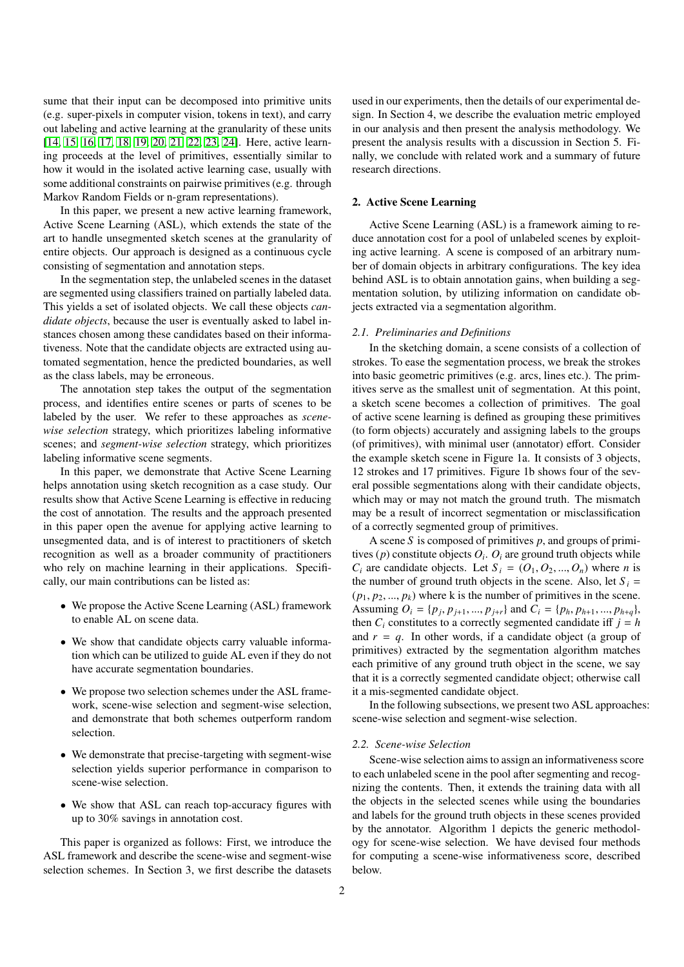sume that their input can be decomposed into primitive units (e.g. super-pixels in computer vision, tokens in text), and carry out labeling and active learning at the granularity of these units [\[14,](#page-10-13) [15,](#page-10-14) [16,](#page-10-15) [17,](#page-10-16) [18,](#page-10-17) [19,](#page-10-18) [20,](#page-10-19) [21,](#page-10-20) [22,](#page-10-21) [23,](#page-10-22) [24\]](#page-10-23). Here, active learning proceeds at the level of primitives, essentially similar to how it would in the isolated active learning case, usually with some additional constraints on pairwise primitives (e.g. through Markov Random Fields or n-gram representations).

In this paper, we present a new active learning framework, Active Scene Learning (ASL), which extends the state of the art to handle unsegmented sketch scenes at the granularity of entire objects. Our approach is designed as a continuous cycle consisting of segmentation and annotation steps.

In the segmentation step, the unlabeled scenes in the dataset are segmented using classifiers trained on partially labeled data. This yields a set of isolated objects. We call these objects *candidate objects*, because the user is eventually asked to label instances chosen among these candidates based on their informativeness. Note that the candidate objects are extracted using automated segmentation, hence the predicted boundaries, as well as the class labels, may be erroneous.

The annotation step takes the output of the segmentation process, and identifies entire scenes or parts of scenes to be labeled by the user. We refer to these approaches as *scenewise selection* strategy, which prioritizes labeling informative scenes; and *segment-wise selection* strategy, which prioritizes labeling informative scene segments.

In this paper, we demonstrate that Active Scene Learning helps annotation using sketch recognition as a case study. Our results show that Active Scene Learning is effective in reducing the cost of annotation. The results and the approach presented in this paper open the avenue for applying active learning to unsegmented data, and is of interest to practitioners of sketch recognition as well as a broader community of practitioners who rely on machine learning in their applications. Specifically, our main contributions can be listed as:

- We propose the Active Scene Learning (ASL) framework to enable AL on scene data.
- We show that candidate objects carry valuable information which can be utilized to guide AL even if they do not have accurate segmentation boundaries.
- We propose two selection schemes under the ASL framework, scene-wise selection and segment-wise selection, and demonstrate that both schemes outperform random selection.
- We demonstrate that precise-targeting with segment-wise selection yields superior performance in comparison to scene-wise selection.
- We show that ASL can reach top-accuracy figures with up to 30% savings in annotation cost.

This paper is organized as follows: First, we introduce the ASL framework and describe the scene-wise and segment-wise selection schemes. In Section 3, we first describe the datasets

used in our experiments, then the details of our experimental design. In Section 4, we describe the evaluation metric employed in our analysis and then present the analysis methodology. We present the analysis results with a discussion in Section 5. Finally, we conclude with related work and a summary of future research directions.

## 2. Active Scene Learning

Active Scene Learning (ASL) is a framework aiming to reduce annotation cost for a pool of unlabeled scenes by exploiting active learning. A scene is composed of an arbitrary number of domain objects in arbitrary configurations. The key idea behind ASL is to obtain annotation gains, when building a segmentation solution, by utilizing information on candidate objects extracted via a segmentation algorithm.

# *2.1. Preliminaries and Definitions*

In the sketching domain, a scene consists of a collection of strokes. To ease the segmentation process, we break the strokes into basic geometric primitives (e.g. arcs, lines etc.). The primitives serve as the smallest unit of segmentation. At this point, a sketch scene becomes a collection of primitives. The goal of active scene learning is defined as grouping these primitives (to form objects) accurately and assigning labels to the groups (of primitives), with minimal user (annotator) effort. Consider the example sketch scene in Figure 1a. It consists of 3 objects, 12 strokes and 17 primitives. Figure 1b shows four of the several possible segmentations along with their candidate objects, which may or may not match the ground truth. The mismatch may be a result of incorrect segmentation or misclassification of a correctly segmented group of primitives.

A scene *S* is composed of primitives *p*, and groups of primitives  $(p)$  constitute objects  $O_i$ .  $O_i$  are ground truth objects while  $C_i$  are candidate objects. Let  $S_i = (O_1, O_2, ..., O_n)$  where *n* is the number of ground truth objects in the scene. Also, let  $S_i$  =  $(p_1, p_2, \ldots, p_k)$  where k is the number of primitives in the scene. Assuming  $O_i = \{p_j, p_{j+1}, ..., p_{j+r}\}\$  and  $C_i = \{p_h, p_{h+1}, ..., p_{h+q}\}\$ , then  $C_i$  constitutes to a correctly segmented candidate iff  $i - h$ then  $C_i$  constitutes to a correctly segmented candidate iff  $j = h$ and  $r = q$ . In other words, if a candidate object (a group of primitives) extracted by the segmentation algorithm matches each primitive of any ground truth object in the scene, we say that it is a correctly segmented candidate object; otherwise call it a mis-segmented candidate object.

In the following subsections, we present two ASL approaches: scene-wise selection and segment-wise selection.

#### *2.2. Scene-wise Selection*

Scene-wise selection aims to assign an informativeness score to each unlabeled scene in the pool after segmenting and recognizing the contents. Then, it extends the training data with all the objects in the selected scenes while using the boundaries and labels for the ground truth objects in these scenes provided by the annotator. Algorithm 1 depicts the generic methodology for scene-wise selection. We have devised four methods for computing a scene-wise informativeness score, described below.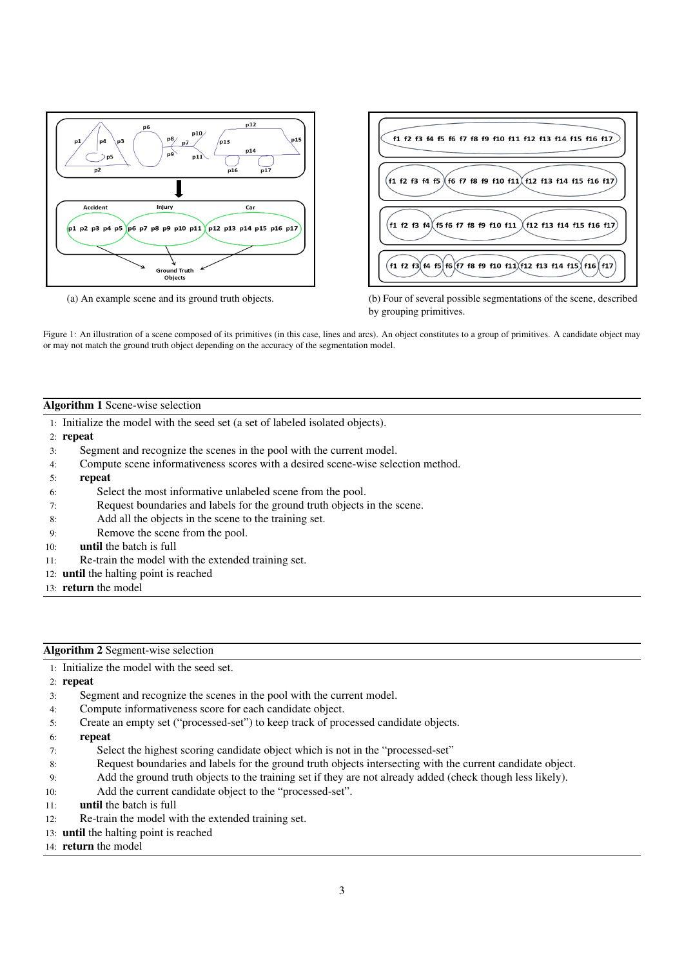

f1 f2 f3 f4 f5 f6 f7 f8 f9 f10 f11 f12 f13 f14 f15 f16 f17 f1 f2 f3 f4 f5  $\acute{}$ f6 f7 f8 f9 f10 f11 $\acute{}$ (f12 f13 f14 f15 f16 f17  $(\mathsf{f1}\; \mathsf{f2}\; \mathsf{f3}\; \mathsf{f4})\!\!$  (f5 f6 f7 f8 f9 f10 f11  $)(\mathsf{f12}\; \mathsf{f13}\; \mathsf{f14}\; \mathsf{f15}\; \mathsf{f16}\; \mathsf{f17})$  $f1$  f2 f3 f4 f5 f6 f7 f8 f9 f10 f11 f12 f13 f14 f15 f16 f17

(a) An example scene and its ground truth objects. (b) Four of several possible segmentations of the scene, described by grouping primitives.

Figure 1: An illustration of a scene composed of its primitives (in this case, lines and arcs). An object constitutes to a group of primitives. A candidate object may or may not match the ground truth object depending on the accuracy of the segmentation model.

# Algorithm 1 Scene-wise selection

- 1: Initialize the model with the seed set (a set of labeled isolated objects).
- 2: repeat
- 3: Segment and recognize the scenes in the pool with the current model.
- 4: Compute scene informativeness scores with a desired scene-wise selection method.
- 5: repeat
- 6: Select the most informative unlabeled scene from the pool.
- 7: Request boundaries and labels for the ground truth objects in the scene.
- 8: Add all the objects in the scene to the training set.
- 9: Remove the scene from the pool.
- 10: until the batch is full
- 11: Re-train the model with the extended training set.
- 12: until the halting point is reached
- 13: return the model

## Algorithm 2 Segment-wise selection

1: Initialize the model with the seed set.

2: repeat

- 3: Segment and recognize the scenes in the pool with the current model.
- 4: Compute informativeness score for each candidate object.
- 5: Create an empty set ("processed-set") to keep track of processed candidate objects.
- 6: repeat
- 7: Select the highest scoring candidate object which is not in the "processed-set"
- 8: Request boundaries and labels for the ground truth objects intersecting with the current candidate object.
- 9: Add the ground truth objects to the training set if they are not already added (check though less likely).
- 10: Add the current candidate object to the "processed-set".
- 11: until the batch is full
- 12: Re-train the model with the extended training set.
- 13: until the halting point is reached
- 14: return the model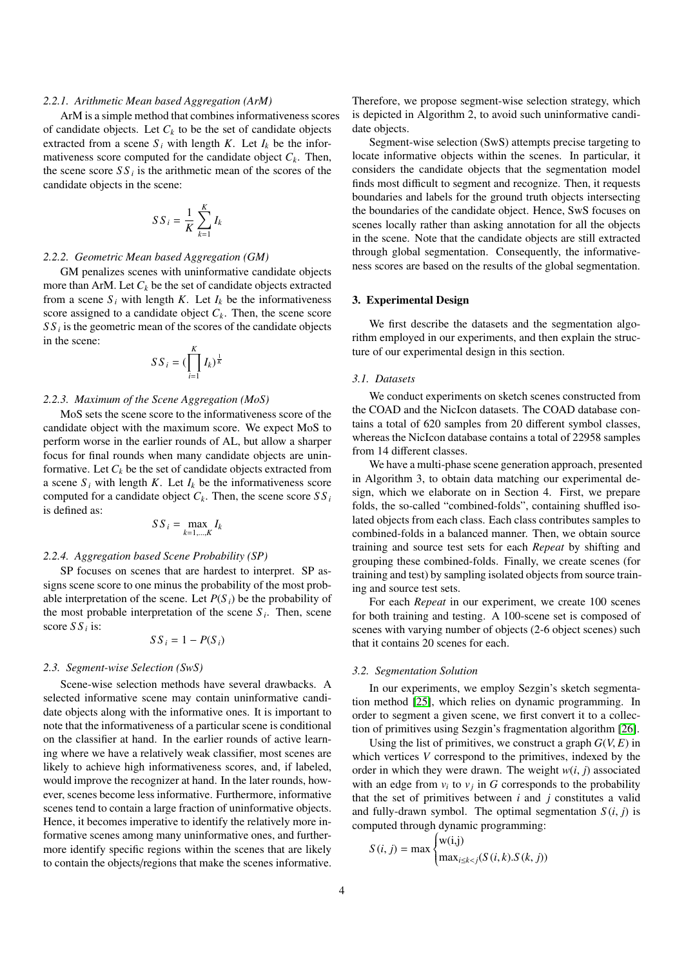#### *2.2.1. Arithmetic Mean based Aggregation (ArM)*

ArM is a simple method that combines informativeness scores of candidate objects. Let  $C_k$  to be the set of candidate objects extracted from a scene  $S_i$  with length  $K$ . Let  $I_k$  be the informativeness score computed for the candidate object  $C_k$ . Then, the scene score  $SS_i$  is the arithmetic mean of the scores of the candidate objects in the scene:

$$
S\,S_{i} = \frac{1}{K} \sum_{k=1}^{K} I_k
$$

# *2.2.2. Geometric Mean based Aggregation (GM)*

GM penalizes scenes with uninformative candidate objects more than ArM. Let  $C_k$  be the set of candidate objects extracted from a scene  $S_i$  with length *K*. Let  $I_k$  be the informativeness score assigned to a candidate object  $C_k$ . Then, the scene score  $SS<sub>i</sub>$  is the geometric mean of the scores of the candidate objects in the scene:

$$
S S_i = (\prod_{i=1}^K I_k)^{\frac{1}{K}}
$$

# *2.2.3. Maximum of the Scene Aggregation (MoS)*

MoS sets the scene score to the informativeness score of the candidate object with the maximum score. We expect MoS to perform worse in the earlier rounds of AL, but allow a sharper focus for final rounds when many candidate objects are uninformative. Let  $C_k$  be the set of candidate objects extracted from a scene  $S_i$  with length *K*. Let  $I_k$  be the informativeness score computed for a candidate object  $C_k$ . Then, the scene score  $SS_i$ is defined as:

$$
SS_i = \max_{k=1,\dots,K} I_k
$$

## *2.2.4. Aggregation based Scene Probability (SP)*

SP focuses on scenes that are hardest to interpret. SP assigns scene score to one minus the probability of the most probable interpretation of the scene. Let  $P(S_i)$  be the probability of the most probable interpretation of the scene  $S_i$ . Then, scene score *S S <sup>i</sup>* is:

$$
S S_i = 1 - P(S_i)
$$

## *2.3. Segment-wise Selection (SwS)*

Scene-wise selection methods have several drawbacks. A selected informative scene may contain uninformative candidate objects along with the informative ones. It is important to note that the informativeness of a particular scene is conditional on the classifier at hand. In the earlier rounds of active learning where we have a relatively weak classifier, most scenes are likely to achieve high informativeness scores, and, if labeled, would improve the recognizer at hand. In the later rounds, however, scenes become less informative. Furthermore, informative scenes tend to contain a large fraction of uninformative objects. Hence, it becomes imperative to identify the relatively more informative scenes among many uninformative ones, and furthermore identify specific regions within the scenes that are likely to contain the objects/regions that make the scenes informative.

Therefore, we propose segment-wise selection strategy, which is depicted in Algorithm 2, to avoid such uninformative candidate objects.

Segment-wise selection (SwS) attempts precise targeting to locate informative objects within the scenes. In particular, it considers the candidate objects that the segmentation model finds most difficult to segment and recognize. Then, it requests boundaries and labels for the ground truth objects intersecting the boundaries of the candidate object. Hence, SwS focuses on scenes locally rather than asking annotation for all the objects in the scene. Note that the candidate objects are still extracted through global segmentation. Consequently, the informativeness scores are based on the results of the global segmentation.

## 3. Experimental Design

We first describe the datasets and the segmentation algorithm employed in our experiments, and then explain the structure of our experimental design in this section.

## *3.1. Datasets*

We conduct experiments on sketch scenes constructed from the COAD and the NicIcon datasets. The COAD database contains a total of 620 samples from 20 different symbol classes, whereas the NicIcon database contains a total of 22958 samples from 14 different classes.

We have a multi-phase scene generation approach, presented in Algorithm 3, to obtain data matching our experimental design, which we elaborate on in Section 4. First, we prepare folds, the so-called "combined-folds", containing shuffled isolated objects from each class. Each class contributes samples to combined-folds in a balanced manner. Then, we obtain source training and source test sets for each *Repeat* by shifting and grouping these combined-folds. Finally, we create scenes (for training and test) by sampling isolated objects from source training and source test sets.

For each *Repeat* in our experiment, we create 100 scenes for both training and testing. A 100-scene set is composed of scenes with varying number of objects (2-6 object scenes) such that it contains 20 scenes for each.

## *3.2. Segmentation Solution*

In our experiments, we employ Sezgin's sketch segmentation method [\[25\]](#page-10-24), which relies on dynamic programming. In order to segment a given scene, we first convert it to a collection of primitives using Sezgin's fragmentation algorithm [\[26\]](#page-10-25).

Using the list of primitives, we construct a graph  $G(V, E)$  in which vertices *V* correspond to the primitives, indexed by the order in which they were drawn. The weight  $w(i, j)$  associated with an edge from  $v_i$  to  $v_j$  in *G* corresponds to the probability that the set of primitives between *i* and *j* constitutes a valid and fully-drawn symbol. The optimal segmentation  $S(i, j)$  is computed through dynamic programming:

$$
S(i, j) = \max \begin{cases} w(i,j) \\ \max_{i \le k < j} (S(i, k).S(k, j)) \end{cases}
$$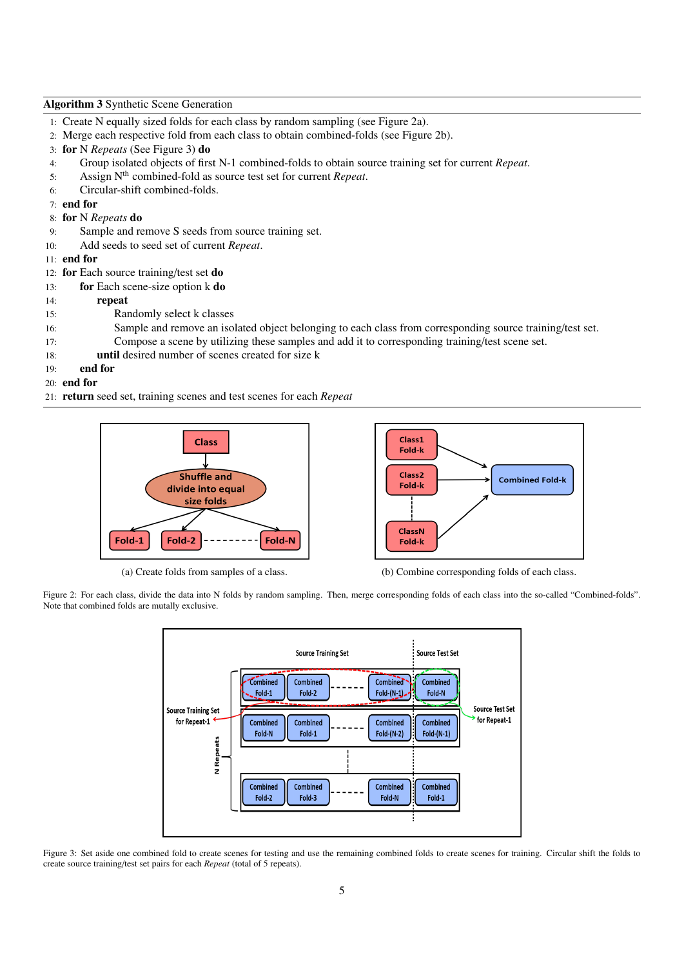## Algorithm 3 Synthetic Scene Generation

- 1: Create N equally sized folds for each class by random sampling (see Figure 2a).
- 2: Merge each respective fold from each class to obtain combined-folds (see Figure 2b).
- 3: for N *Repeats* (See Figure 3) do
- 4: Group isolated objects of first N-1 combined-folds to obtain source training set for current *Repeat*.
- 5: Assign Nth combined-fold as source test set for current *Repeat*.
- 6: Circular-shift combined-folds.
- 7: end for
- 8: for N *Repeats* do
- 9: Sample and remove S seeds from source training set.
- 10: Add seeds to seed set of current *Repeat*.

## 11: end for

- 12: for Each source training/test set do
- 13: for Each scene-size option k do
- 14: repeat
- 15: Randomly select k classes
- 16: Sample and remove an isolated object belonging to each class from corresponding source training/test set.
- 17: Compose a scene by utilizing these samples and add it to corresponding training/test scene set.
- 18: until desired number of scenes created for size k
- 19: end for
- 20: end for
- 21: return seed set, training scenes and test scenes for each *Repeat*



Fold-k Class<sub>2</sub> **Combined Fold-k** Fold-k **ClassN** Fold-k

Class1

(a) Create folds from samples of a class. (b) Combine corresponding folds of each class.

Figure 2: For each class, divide the data into N folds by random sampling. Then, merge corresponding folds of each class into the so-called "Combined-folds". Note that combined folds are mutally exclusive.



Figure 3: Set aside one combined fold to create scenes for testing and use the remaining combined folds to create scenes for training. Circular shift the folds to create source training/test set pairs for each *Repeat* (total of 5 repeats).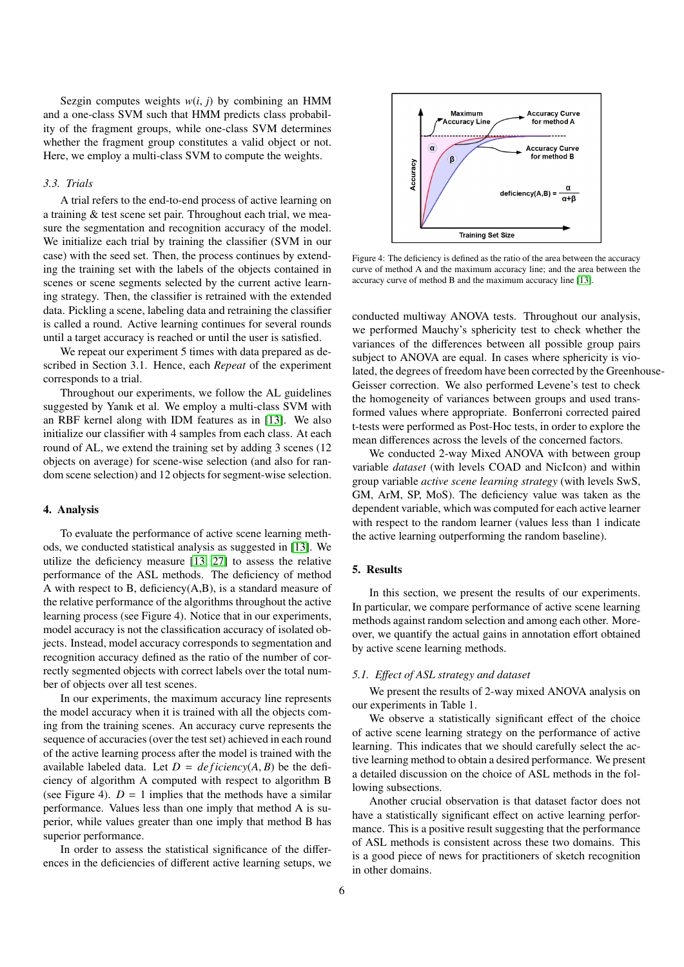Sezgin computes weights  $w(i, j)$  by combining an HMM and a one-class SVM such that HMM predicts class probability of the fragment groups, while one-class SVM determines whether the fragment group constitutes a valid object or not. Here, we employ a multi-class SVM to compute the weights.

# *3.3. Trials*

A trial refers to the end-to-end process of active learning on a training & test scene set pair. Throughout each trial, we measure the segmentation and recognition accuracy of the model. We initialize each trial by training the classifier (SVM in our case) with the seed set. Then, the process continues by extending the training set with the labels of the objects contained in scenes or scene segments selected by the current active learning strategy. Then, the classifier is retrained with the extended data. Pickling a scene, labeling data and retraining the classifier is called a round. Active learning continues for several rounds until a target accuracy is reached or until the user is satisfied.

We repeat our experiment 5 times with data prepared as described in Section 3.1. Hence, each *Repeat* of the experiment corresponds to a trial.

Throughout our experiments, we follow the AL guidelines suggested by Yanık et al. We employ a multi-class SVM with an RBF kernel along with IDM features as in [\[13\]](#page-10-12). We also initialize our classifier with 4 samples from each class. At each round of AL, we extend the training set by adding 3 scenes (12 objects on average) for scene-wise selection (and also for random scene selection) and 12 objects for segment-wise selection.

## 4. Analysis

To evaluate the performance of active scene learning methods, we conducted statistical analysis as suggested in [\[13\]](#page-10-12). We utilize the deficiency measure [\[13,](#page-10-12) [27\]](#page-10-26) to assess the relative performance of the ASL methods. The deficiency of method A with respect to B, deficiency(A,B), is a standard measure of the relative performance of the algorithms throughout the active learning process (see Figure 4). Notice that in our experiments, model accuracy is not the classification accuracy of isolated objects. Instead, model accuracy corresponds to segmentation and recognition accuracy defined as the ratio of the number of correctly segmented objects with correct labels over the total number of objects over all test scenes.

In our experiments, the maximum accuracy line represents the model accuracy when it is trained with all the objects coming from the training scenes. An accuracy curve represents the sequence of accuracies (over the test set) achieved in each round of the active learning process after the model is trained with the available labeled data. Let  $D = \text{def} \text{icien}(A, B)$  be the deficiency of algorithm A computed with respect to algorithm B (see Figure 4).  $D = 1$  implies that the methods have a similar performance. Values less than one imply that method A is superior, while values greater than one imply that method B has superior performance.

In order to assess the statistical significance of the differences in the deficiencies of different active learning setups, we



Figure 4: The deficiency is defined as the ratio of the area between the accuracy curve of method A and the maximum accuracy line; and the area between the accuracy curve of method B and the maximum accuracy line [\[13\]](#page-10-12).

conducted multiway ANOVA tests. Throughout our analysis, we performed Mauchy's sphericity test to check whether the variances of the differences between all possible group pairs subject to ANOVA are equal. In cases where sphericity is violated, the degrees of freedom have been corrected by the Greenhouse-Geisser correction. We also performed Levene's test to check the homogeneity of variances between groups and used transformed values where appropriate. Bonferroni corrected paired t-tests were performed as Post-Hoc tests, in order to explore the mean differences across the levels of the concerned factors.

We conducted 2-way Mixed ANOVA with between group variable *dataset* (with levels COAD and NicIcon) and within group variable *active scene learning strategy* (with levels SwS, GM, ArM, SP, MoS). The deficiency value was taken as the dependent variable, which was computed for each active learner with respect to the random learner (values less than 1 indicate the active learning outperforming the random baseline).

# 5. Results

In this section, we present the results of our experiments. In particular, we compare performance of active scene learning methods against random selection and among each other. Moreover, we quantify the actual gains in annotation effort obtained by active scene learning methods.

#### *5.1. E*ff*ect of ASL strategy and dataset*

We present the results of 2-way mixed ANOVA analysis on our experiments in Table 1.

We observe a statistically significant effect of the choice of active scene learning strategy on the performance of active learning. This indicates that we should carefully select the active learning method to obtain a desired performance. We present a detailed discussion on the choice of ASL methods in the following subsections.

Another crucial observation is that dataset factor does not have a statistically significant effect on active learning performance. This is a positive result suggesting that the performance of ASL methods is consistent across these two domains. This is a good piece of news for practitioners of sketch recognition in other domains.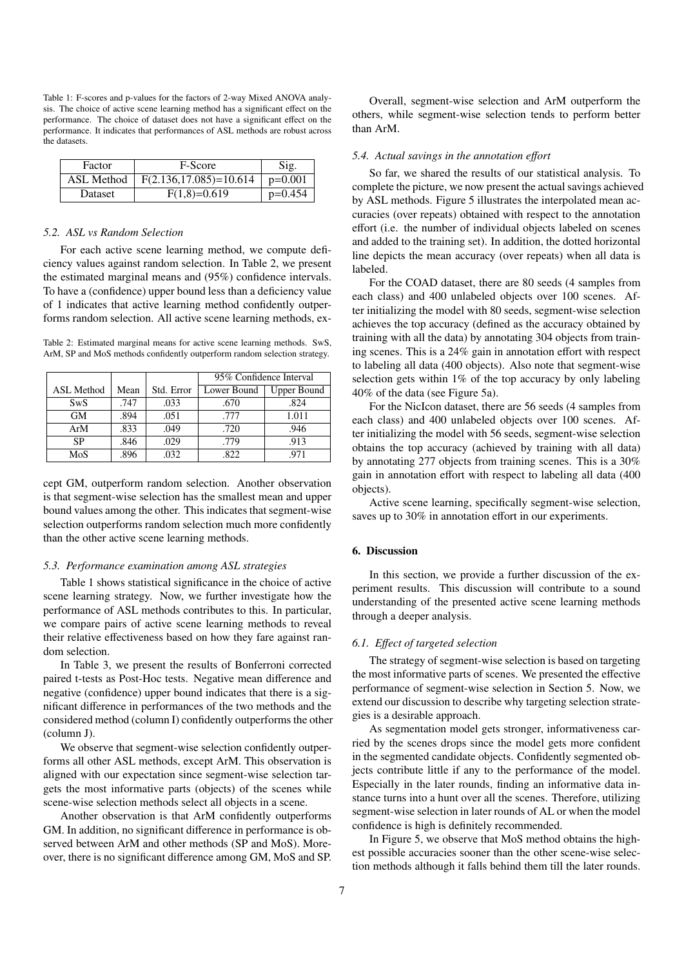Table 1: F-scores and p-values for the factors of 2-way Mixed ANOVA analysis. The choice of active scene learning method has a significant effect on the performance. The choice of dataset does not have a significant effect on the performance. It indicates that performances of ASL methods are robust across the datasets.

| Factor         | F-Score                     | Sig.      |
|----------------|-----------------------------|-----------|
| ASL Method     | $F(2.136, 17.085) = 10.614$ | $p=0.001$ |
| <b>Dataset</b> | $F(1,8)=0.619$              | $p=0.454$ |

## *5.2. ASL vs Random Selection*

For each active scene learning method, we compute deficiency values against random selection. In Table 2, we present the estimated marginal means and (95%) confidence intervals. To have a (confidence) upper bound less than a deficiency value of 1 indicates that active learning method confidently outperforms random selection. All active scene learning methods, ex-

Table 2: Estimated marginal means for active scene learning methods. SwS, ArM, SP and MoS methods confidently outperform random selection strategy.

|                   |      |            | 95% Confidence Interval |                    |  |
|-------------------|------|------------|-------------------------|--------------------|--|
| <b>ASL Method</b> | Mean | Std. Error | Lower Bound             | <b>Upper Bound</b> |  |
| <b>SwS</b>        | .747 | .033       | .670                    | .824               |  |
| <b>GM</b>         | .894 | .051       | .777                    | 1.011              |  |
| ArM               | .833 | .049       | .720                    | .946               |  |
| SP                | .846 | .029       | .779                    | .913               |  |
| MoS               | .896 | .032       | .822                    | .971               |  |

cept GM, outperform random selection. Another observation is that segment-wise selection has the smallest mean and upper bound values among the other. This indicates that segment-wise selection outperforms random selection much more confidently than the other active scene learning methods.

#### *5.3. Performance examination among ASL strategies*

Table 1 shows statistical significance in the choice of active scene learning strategy. Now, we further investigate how the performance of ASL methods contributes to this. In particular, we compare pairs of active scene learning methods to reveal their relative effectiveness based on how they fare against random selection.

In Table 3, we present the results of Bonferroni corrected paired t-tests as Post-Hoc tests. Negative mean difference and negative (confidence) upper bound indicates that there is a significant difference in performances of the two methods and the considered method (column I) confidently outperforms the other (column J).

We observe that segment-wise selection confidently outperforms all other ASL methods, except ArM. This observation is aligned with our expectation since segment-wise selection targets the most informative parts (objects) of the scenes while scene-wise selection methods select all objects in a scene.

Another observation is that ArM confidently outperforms GM. In addition, no significant difference in performance is observed between ArM and other methods (SP and MoS). Moreover, there is no significant difference among GM, MoS and SP.

Overall, segment-wise selection and ArM outperform the others, while segment-wise selection tends to perform better than ArM.

#### *5.4. Actual savings in the annotation e*ff*ort*

So far, we shared the results of our statistical analysis. To complete the picture, we now present the actual savings achieved by ASL methods. Figure 5 illustrates the interpolated mean accuracies (over repeats) obtained with respect to the annotation effort (i.e. the number of individual objects labeled on scenes and added to the training set). In addition, the dotted horizontal line depicts the mean accuracy (over repeats) when all data is labeled.

For the COAD dataset, there are 80 seeds (4 samples from each class) and 400 unlabeled objects over 100 scenes. After initializing the model with 80 seeds, segment-wise selection achieves the top accuracy (defined as the accuracy obtained by training with all the data) by annotating 304 objects from training scenes. This is a 24% gain in annotation effort with respect to labeling all data (400 objects). Also note that segment-wise selection gets within 1% of the top accuracy by only labeling 40% of the data (see Figure 5a).

For the NicIcon dataset, there are 56 seeds (4 samples from each class) and 400 unlabeled objects over 100 scenes. After initializing the model with 56 seeds, segment-wise selection obtains the top accuracy (achieved by training with all data) by annotating 277 objects from training scenes. This is a 30% gain in annotation effort with respect to labeling all data (400 objects).

Active scene learning, specifically segment-wise selection, saves up to 30% in annotation effort in our experiments.

# 6. Discussion

In this section, we provide a further discussion of the experiment results. This discussion will contribute to a sound understanding of the presented active scene learning methods through a deeper analysis.

#### *6.1. E*ff*ect of targeted selection*

The strategy of segment-wise selection is based on targeting the most informative parts of scenes. We presented the effective performance of segment-wise selection in Section 5. Now, we extend our discussion to describe why targeting selection strategies is a desirable approach.

As segmentation model gets stronger, informativeness carried by the scenes drops since the model gets more confident in the segmented candidate objects. Confidently segmented objects contribute little if any to the performance of the model. Especially in the later rounds, finding an informative data instance turns into a hunt over all the scenes. Therefore, utilizing segment-wise selection in later rounds of AL or when the model confidence is high is definitely recommended.

In Figure 5, we observe that MoS method obtains the highest possible accuracies sooner than the other scene-wise selection methods although it falls behind them till the later rounds.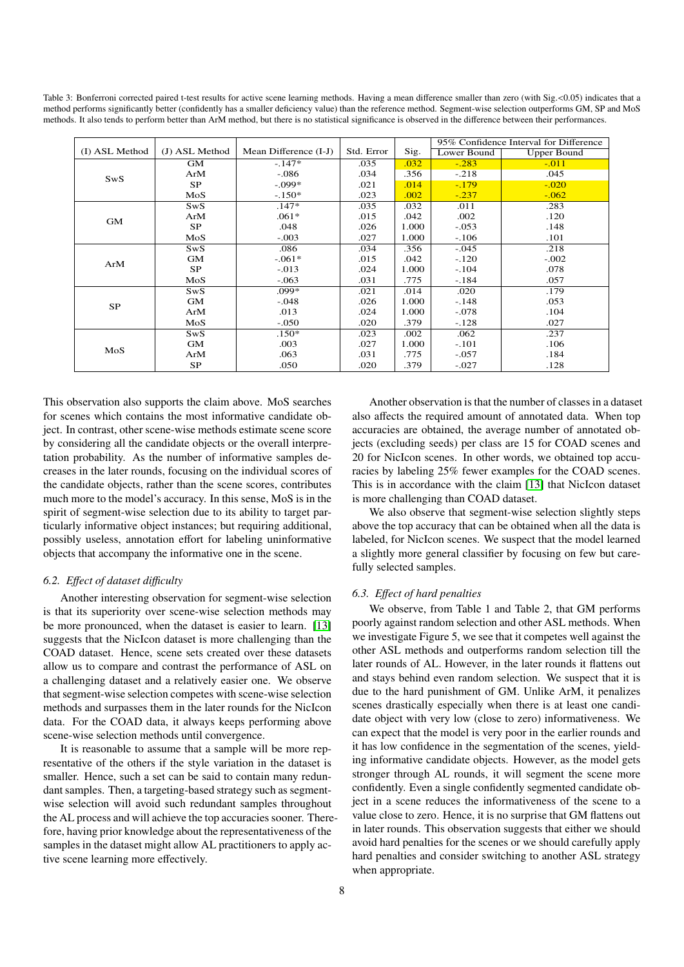Table 3: Bonferroni corrected paired t-test results for active scene learning methods. Having a mean difference smaller than zero (with Sig. < 0.05) indicates that a method performs significantly better (confidently has a smaller deficiency value) than the reference method. Segment-wise selection outperforms GM, SP and MoS methods. It also tends to perform better than ArM method, but there is no statistical significance is observed in the difference between their performances.

|                |                |                       |            |       | 95% Confidence Interval for Difference |                    |
|----------------|----------------|-----------------------|------------|-------|----------------------------------------|--------------------|
| (I) ASL Method | (J) ASL Method | Mean Difference (I-J) | Std. Error | Sig.  | Lower Bound                            | <b>Upper Bound</b> |
| SwS            | <b>GM</b>      | $-.147*$              | .035       | .032  | $-.283$                                | $-.011$            |
|                | ArM            | $-.086$               | .034       | .356  | $-.218$                                | .045               |
|                | <b>SP</b>      | $-.099*$              | .021       | .014  | $-.179$                                | $-.020$            |
|                | MoS            | $-.150*$              | .023       | .002  | $-.237$                                | $-0.062$           |
| GM             | SwS            | $.147*$               | .035       | .032  | .011                                   | .283               |
|                | ArM            | $.061*$               | .015       | .042  | .002                                   | .120               |
|                | SP             | .048                  | .026       | 1.000 | $-.053$                                | .148               |
|                | MoS            | $-.003$               | .027       | 1.000 | $-.106$                                | .101               |
| ArM            | SwS            | .086                  | .034       | .356  | $-.045$                                | .218               |
|                | <b>GM</b>      | $-.061*$              | .015       | .042  | $-.120$                                | $-.002$            |
|                | <b>SP</b>      | $-.013$               | .024       | 1.000 | $-.104$                                | .078               |
|                | MoS            | $-.063$               | .031       | .775  | $-.184$                                | .057               |
| SP             | SwS            | .099*                 | .021       | .014  | .020                                   | .179               |
|                | GМ             | $-.048$               | .026       | 1.000 | $-.148$                                | .053               |
|                | ArM            | .013                  | .024       | 1.000 | $-.078$                                | .104               |
|                | MoS            | $-.050$               | .020       | .379  | $-.128$                                | .027               |
| MoS            | <b>SwS</b>     | $.150*$               | .023       | .002  | .062                                   | .237               |
|                | <b>GM</b>      | .003                  | .027       | 1.000 | $-.101$                                | .106               |
|                | ArM            | .063                  | .031       | .775  | $-.057$                                | .184               |
|                | SP.            | .050                  | .020       | .379  | $-.027$                                | .128               |

This observation also supports the claim above. MoS searches for scenes which contains the most informative candidate object. In contrast, other scene-wise methods estimate scene score by considering all the candidate objects or the overall interpretation probability. As the number of informative samples decreases in the later rounds, focusing on the individual scores of the candidate objects, rather than the scene scores, contributes much more to the model's accuracy. In this sense, MoS is in the spirit of segment-wise selection due to its ability to target particularly informative object instances; but requiring additional, possibly useless, annotation effort for labeling uninformative objects that accompany the informative one in the scene.

## *6.2. E*ff*ect of dataset di*ffi*culty*

Another interesting observation for segment-wise selection is that its superiority over scene-wise selection methods may be more pronounced, when the dataset is easier to learn. [\[13\]](#page-10-12) suggests that the NicIcon dataset is more challenging than the COAD dataset. Hence, scene sets created over these datasets allow us to compare and contrast the performance of ASL on a challenging dataset and a relatively easier one. We observe that segment-wise selection competes with scene-wise selection methods and surpasses them in the later rounds for the NicIcon data. For the COAD data, it always keeps performing above scene-wise selection methods until convergence.

It is reasonable to assume that a sample will be more representative of the others if the style variation in the dataset is smaller. Hence, such a set can be said to contain many redundant samples. Then, a targeting-based strategy such as segmentwise selection will avoid such redundant samples throughout the AL process and will achieve the top accuracies sooner. Therefore, having prior knowledge about the representativeness of the samples in the dataset might allow AL practitioners to apply active scene learning more effectively.

Another observation is that the number of classes in a dataset also affects the required amount of annotated data. When top accuracies are obtained, the average number of annotated objects (excluding seeds) per class are 15 for COAD scenes and 20 for NicIcon scenes. In other words, we obtained top accuracies by labeling 25% fewer examples for the COAD scenes. This is in accordance with the claim [\[13\]](#page-10-12) that NicIcon dataset is more challenging than COAD dataset.

We also observe that segment-wise selection slightly steps above the top accuracy that can be obtained when all the data is labeled, for NicIcon scenes. We suspect that the model learned a slightly more general classifier by focusing on few but carefully selected samples.

#### *6.3. E*ff*ect of hard penalties*

We observe, from Table 1 and Table 2, that GM performs poorly against random selection and other ASL methods. When we investigate Figure 5, we see that it competes well against the other ASL methods and outperforms random selection till the later rounds of AL. However, in the later rounds it flattens out and stays behind even random selection. We suspect that it is due to the hard punishment of GM. Unlike ArM, it penalizes scenes drastically especially when there is at least one candidate object with very low (close to zero) informativeness. We can expect that the model is very poor in the earlier rounds and it has low confidence in the segmentation of the scenes, yielding informative candidate objects. However, as the model gets stronger through AL rounds, it will segment the scene more confidently. Even a single confidently segmented candidate object in a scene reduces the informativeness of the scene to a value close to zero. Hence, it is no surprise that GM flattens out in later rounds. This observation suggests that either we should avoid hard penalties for the scenes or we should carefully apply hard penalties and consider switching to another ASL strategy when appropriate.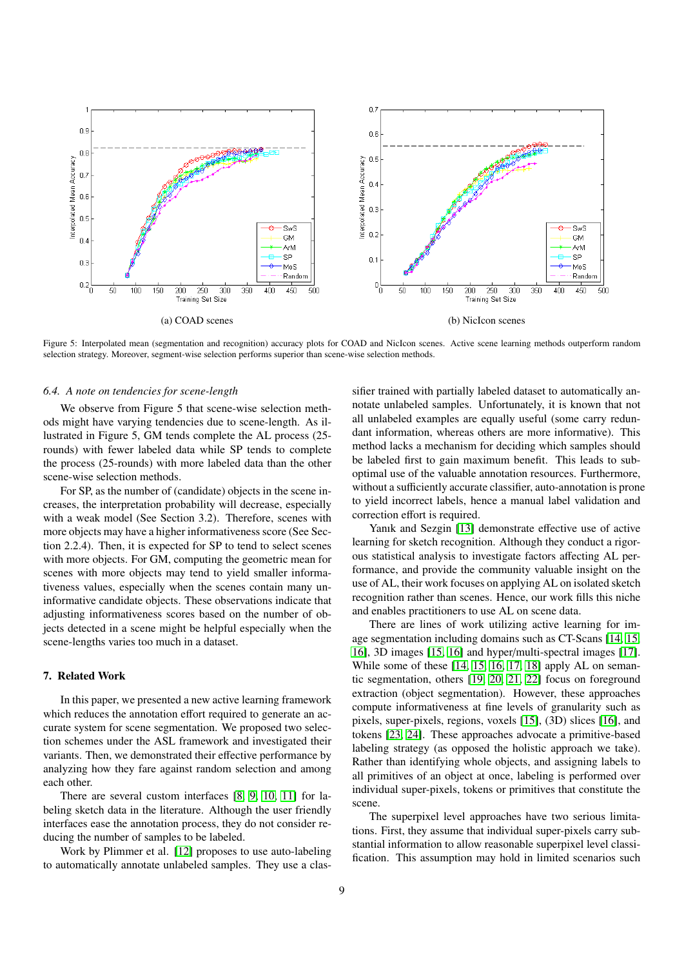

Figure 5: Interpolated mean (segmentation and recognition) accuracy plots for COAD and NicIcon scenes. Active scene learning methods outperform random selection strategy. Moreover, segment-wise selection performs superior than scene-wise selection methods.

#### *6.4. A note on tendencies for scene-length*

We observe from Figure 5 that scene-wise selection methods might have varying tendencies due to scene-length. As illustrated in Figure 5, GM tends complete the AL process (25 rounds) with fewer labeled data while SP tends to complete the process (25-rounds) with more labeled data than the other scene-wise selection methods.

For SP, as the number of (candidate) objects in the scene increases, the interpretation probability will decrease, especially with a weak model (See Section 3.2). Therefore, scenes with more objects may have a higher informativeness score (See Section 2.2.4). Then, it is expected for SP to tend to select scenes with more objects. For GM, computing the geometric mean for scenes with more objects may tend to yield smaller informativeness values, especially when the scenes contain many uninformative candidate objects. These observations indicate that adjusting informativeness scores based on the number of objects detected in a scene might be helpful especially when the scene-lengths varies too much in a dataset.

## 7. Related Work

In this paper, we presented a new active learning framework which reduces the annotation effort required to generate an accurate system for scene segmentation. We proposed two selection schemes under the ASL framework and investigated their variants. Then, we demonstrated their effective performance by analyzing how they fare against random selection and among each other.

There are several custom interfaces [\[8,](#page-10-7) [9,](#page-10-8) [10,](#page-10-9) [11\]](#page-10-10) for labeling sketch data in the literature. Although the user friendly interfaces ease the annotation process, they do not consider reducing the number of samples to be labeled.

Work by Plimmer et al. [\[12\]](#page-10-11) proposes to use auto-labeling to automatically annotate unlabeled samples. They use a classifier trained with partially labeled dataset to automatically annotate unlabeled samples. Unfortunately, it is known that not all unlabeled examples are equally useful (some carry redundant information, whereas others are more informative). This method lacks a mechanism for deciding which samples should be labeled first to gain maximum benefit. This leads to suboptimal use of the valuable annotation resources. Furthermore, without a sufficiently accurate classifier, auto-annotation is prone to yield incorrect labels, hence a manual label validation and correction effort is required.

Yanık and Sezgin [\[13\]](#page-10-12) demonstrate effective use of active learning for sketch recognition. Although they conduct a rigorous statistical analysis to investigate factors affecting AL performance, and provide the community valuable insight on the use of AL, their work focuses on applying AL on isolated sketch recognition rather than scenes. Hence, our work fills this niche and enables practitioners to use AL on scene data.

There are lines of work utilizing active learning for image segmentation including domains such as CT-Scans [\[14,](#page-10-13) [15,](#page-10-14) [16\]](#page-10-15), 3D images [\[15,](#page-10-14) [16\]](#page-10-15) and hyper/multi-spectral images [\[17\]](#page-10-16). While some of these [\[14,](#page-10-13) [15,](#page-10-14) [16,](#page-10-15) [17,](#page-10-16) [18\]](#page-10-17) apply AL on semantic segmentation, others [\[19,](#page-10-18) [20,](#page-10-19) [21,](#page-10-20) [22\]](#page-10-21) focus on foreground extraction (object segmentation). However, these approaches compute informativeness at fine levels of granularity such as pixels, super-pixels, regions, voxels [\[15\]](#page-10-14), (3D) slices [\[16\]](#page-10-15), and tokens [\[23,](#page-10-22) [24\]](#page-10-23). These approaches advocate a primitive-based labeling strategy (as opposed the holistic approach we take). Rather than identifying whole objects, and assigning labels to all primitives of an object at once, labeling is performed over individual super-pixels, tokens or primitives that constitute the scene.

The superpixel level approaches have two serious limitations. First, they assume that individual super-pixels carry substantial information to allow reasonable superpixel level classification. This assumption may hold in limited scenarios such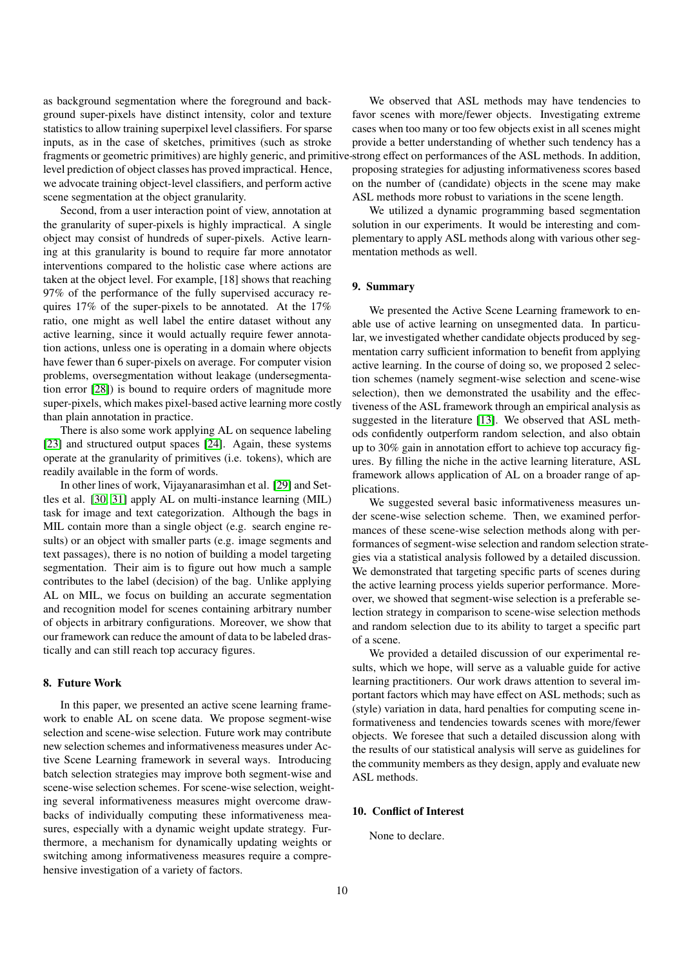as background segmentation where the foreground and background super-pixels have distinct intensity, color and texture statistics to allow training superpixel level classifiers. For sparse inputs, as in the case of sketches, primitives (such as stroke fragments or geometric primitives) are highly generic, and primitive-strong effect on performances of the ASL methods. In addition, level prediction of object classes has proved impractical. Hence, we advocate training object-level classifiers, and perform active scene segmentation at the object granularity.

Second, from a user interaction point of view, annotation at the granularity of super-pixels is highly impractical. A single object may consist of hundreds of super-pixels. Active learning at this granularity is bound to require far more annotator interventions compared to the holistic case where actions are taken at the object level. For example, [18] shows that reaching 97% of the performance of the fully supervised accuracy requires 17% of the super-pixels to be annotated. At the 17% ratio, one might as well label the entire dataset without any active learning, since it would actually require fewer annotation actions, unless one is operating in a domain where objects have fewer than 6 super-pixels on average. For computer vision problems, oversegmentation without leakage (undersegmentation error [\[28\]](#page-10-27)) is bound to require orders of magnitude more super-pixels, which makes pixel-based active learning more costly than plain annotation in practice.

There is also some work applying AL on sequence labeling [\[23\]](#page-10-22) and structured output spaces [\[24\]](#page-10-23). Again, these systems operate at the granularity of primitives (i.e. tokens), which are readily available in the form of words.

In other lines of work, Vijayanarasimhan et al. [\[29\]](#page-10-28) and Settles et al. [\[30,](#page-10-29) [31\]](#page-10-30) apply AL on multi-instance learning (MIL) task for image and text categorization. Although the bags in MIL contain more than a single object (e.g. search engine results) or an object with smaller parts (e.g. image segments and text passages), there is no notion of building a model targeting segmentation. Their aim is to figure out how much a sample contributes to the label (decision) of the bag. Unlike applying AL on MIL, we focus on building an accurate segmentation and recognition model for scenes containing arbitrary number of objects in arbitrary configurations. Moreover, we show that our framework can reduce the amount of data to be labeled drastically and can still reach top accuracy figures.

#### 8. Future Work

In this paper, we presented an active scene learning framework to enable AL on scene data. We propose segment-wise selection and scene-wise selection. Future work may contribute new selection schemes and informativeness measures under Active Scene Learning framework in several ways. Introducing batch selection strategies may improve both segment-wise and scene-wise selection schemes. For scene-wise selection, weighting several informativeness measures might overcome drawbacks of individually computing these informativeness measures, especially with a dynamic weight update strategy. Furthermore, a mechanism for dynamically updating weights or switching among informativeness measures require a comprehensive investigation of a variety of factors.

We observed that ASL methods may have tendencies to favor scenes with more/fewer objects. Investigating extreme cases when too many or too few objects exist in all scenes might provide a better understanding of whether such tendency has a proposing strategies for adjusting informativeness scores based on the number of (candidate) objects in the scene may make ASL methods more robust to variations in the scene length.

We utilized a dynamic programming based segmentation solution in our experiments. It would be interesting and complementary to apply ASL methods along with various other segmentation methods as well.

# 9. Summary

We presented the Active Scene Learning framework to enable use of active learning on unsegmented data. In particular, we investigated whether candidate objects produced by segmentation carry sufficient information to benefit from applying active learning. In the course of doing so, we proposed 2 selection schemes (namely segment-wise selection and scene-wise selection), then we demonstrated the usability and the effectiveness of the ASL framework through an empirical analysis as suggested in the literature [\[13\]](#page-10-12). We observed that ASL methods confidently outperform random selection, and also obtain up to 30% gain in annotation effort to achieve top accuracy figures. By filling the niche in the active learning literature, ASL framework allows application of AL on a broader range of applications.

We suggested several basic informativeness measures under scene-wise selection scheme. Then, we examined performances of these scene-wise selection methods along with performances of segment-wise selection and random selection strategies via a statistical analysis followed by a detailed discussion. We demonstrated that targeting specific parts of scenes during the active learning process yields superior performance. Moreover, we showed that segment-wise selection is a preferable selection strategy in comparison to scene-wise selection methods and random selection due to its ability to target a specific part of a scene.

We provided a detailed discussion of our experimental results, which we hope, will serve as a valuable guide for active learning practitioners. Our work draws attention to several important factors which may have effect on ASL methods; such as (style) variation in data, hard penalties for computing scene informativeness and tendencies towards scenes with more/fewer objects. We foresee that such a detailed discussion along with the results of our statistical analysis will serve as guidelines for the community members as they design, apply and evaluate new ASL methods.

# 10. Conflict of Interest

None to declare.